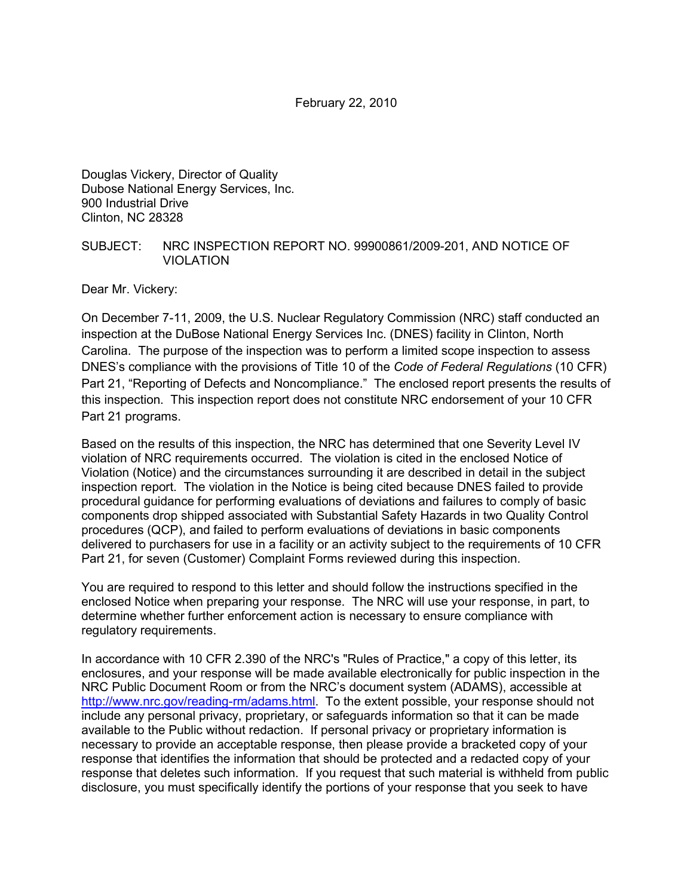Douglas Vickery, Director of Quality Dubose National Energy Services, Inc. 900 Industrial Drive Clinton, NC 28328

### SUBJECT: NRC INSPECTION REPORT NO. 99900861/2009-201, AND NOTICE OF VIOLATION

Dear Mr. Vickery:

On December 7-11, 2009, the U.S. Nuclear Regulatory Commission (NRC) staff conducted an inspection at the DuBose National Energy Services Inc. (DNES) facility in Clinton, North Carolina. The purpose of the inspection was to perform a limited scope inspection to assess DNES's compliance with the provisions of Title 10 of the *Code of Federal Regulations* (10 CFR) Part 21, "Reporting of Defects and Noncompliance." The enclosed report presents the results of this inspection. This inspection report does not constitute NRC endorsement of your 10 CFR Part 21 programs.

Based on the results of this inspection, the NRC has determined that one Severity Level IV violation of NRC requirements occurred. The violation is cited in the enclosed Notice of Violation (Notice) and the circumstances surrounding it are described in detail in the subject inspection report. The violation in the Notice is being cited because DNES failed to provide procedural guidance for performing evaluations of deviations and failures to comply of basic components drop shipped associated with Substantial Safety Hazards in two Quality Control procedures (QCP), and failed to perform evaluations of deviations in basic components delivered to purchasers for use in a facility or an activity subject to the requirements of 10 CFR Part 21, for seven (Customer) Complaint Forms reviewed during this inspection.

You are required to respond to this letter and should follow the instructions specified in the enclosed Notice when preparing your response. The NRC will use your response, in part, to determine whether further enforcement action is necessary to ensure compliance with regulatory requirements.

In accordance with 10 CFR 2.390 of the NRC's "Rules of Practice," a copy of this letter, its enclosures, and your response will be made available electronically for public inspection in the NRC Public Document Room or from the NRC's document system (ADAMS), accessible at http://www.nrc.gov/reading-rm/adams.html. To the extent possible, your response should not include any personal privacy, proprietary, or safeguards information so that it can be made available to the Public without redaction. If personal privacy or proprietary information is necessary to provide an acceptable response, then please provide a bracketed copy of your response that identifies the information that should be protected and a redacted copy of your response that deletes such information. If you request that such material is withheld from public disclosure, you must specifically identify the portions of your response that you seek to have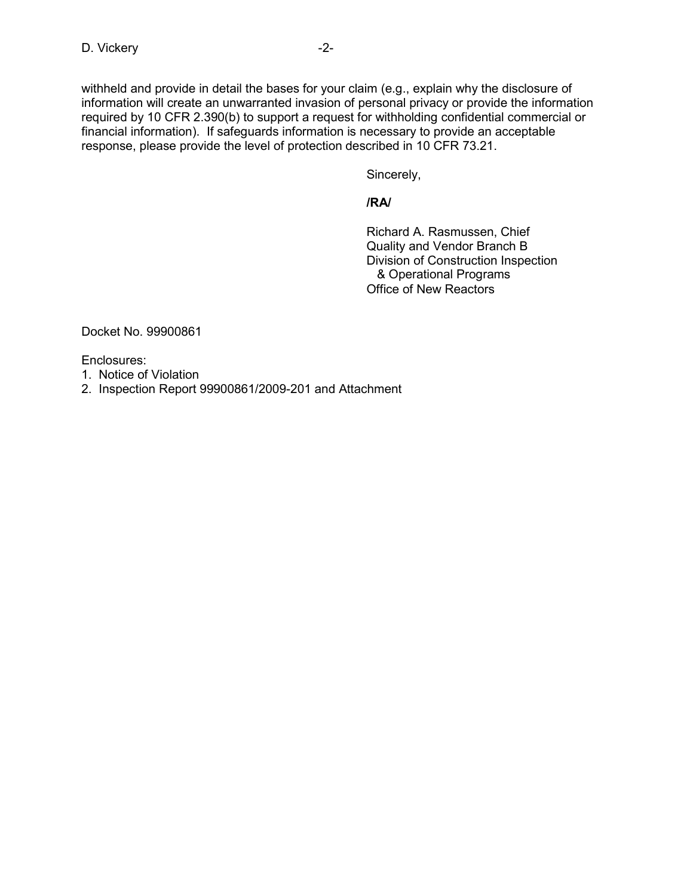withheld and provide in detail the bases for your claim (e.g., explain why the disclosure of information will create an unwarranted invasion of personal privacy or provide the information required by 10 CFR 2.390(b) to support a request for withholding confidential commercial or financial information). If safeguards information is necessary to provide an acceptable response, please provide the level of protection described in 10 CFR 73.21.

Sincerely,

**/RA/** 

 Richard A. Rasmussen, Chief Quality and Vendor Branch B Division of Construction Inspection & Operational Programs Office of New Reactors

Docket No. 99900861

Enclosures:

- 1. Notice of Violation
- 2. Inspection Report 99900861/2009-201 and Attachment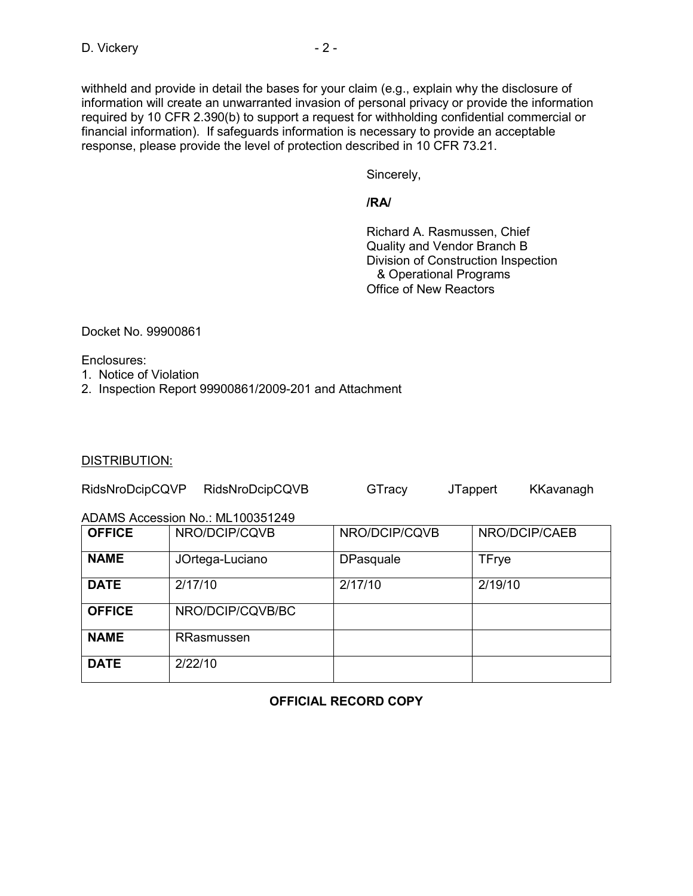withheld and provide in detail the bases for your claim (e.g., explain why the disclosure of information will create an unwarranted invasion of personal privacy or provide the information required by 10 CFR 2.390(b) to support a request for withholding confidential commercial or financial information). If safeguards information is necessary to provide an acceptable response, please provide the level of protection described in 10 CFR 73.21.

Sincerely,

**/RA/** 

 Richard A. Rasmussen, Chief Quality and Vendor Branch B Division of Construction Inspection & Operational Programs Office of New Reactors

Docket No. 99900861

Enclosures:

- 1. Notice of Violation
- 2. Inspection Report 99900861/2009-201 and Attachment

#### DISTRIBUTION:

| RidsNroDcipCQVP | RidsNroDcipCQVB | GTracy | <b>JTappert</b> | KKavanagh |
|-----------------|-----------------|--------|-----------------|-----------|
|-----------------|-----------------|--------|-----------------|-----------|

ADAMS Accession No.: ML100351249

| <b>OFFICE</b> | NRO/DCIP/CQVB    | NRO/DCIP/CQVB    | NRO/DCIP/CAEB |
|---------------|------------------|------------------|---------------|
| <b>NAME</b>   | JOrtega-Luciano  | <b>DPasquale</b> | <b>TFrye</b>  |
| <b>DATE</b>   | 2/17/10          | 2/17/10          | 2/19/10       |
| <b>OFFICE</b> | NRO/DCIP/CQVB/BC |                  |               |
| <b>NAME</b>   | RRasmussen       |                  |               |
| <b>DATE</b>   | 2/22/10          |                  |               |

## **OFFICIAL RECORD COPY**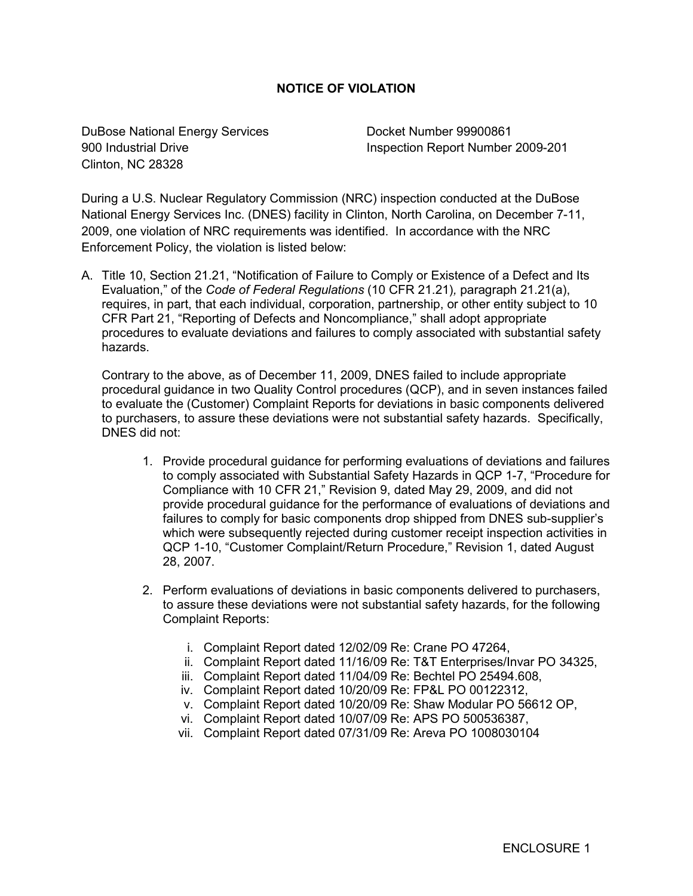## **NOTICE OF VIOLATION**

DuBose National Energy Services Docket Number 99900861 Clinton, NC 28328

900 Industrial Drive Inspection Report Number 2009-201

During a U.S. Nuclear Regulatory Commission (NRC) inspection conducted at the DuBose National Energy Services Inc. (DNES) facility in Clinton, North Carolina, on December 7-11, 2009, one violation of NRC requirements was identified. In accordance with the NRC Enforcement Policy, the violation is listed below:

A. Title 10, Section 21.21, "Notification of Failure to Comply or Existence of a Defect and Its Evaluation," of the *Code of Federal Regulations* (10 CFR 21.21)*,* paragraph 21.21(a), requires, in part, that each individual, corporation, partnership, or other entity subject to 10 CFR Part 21, "Reporting of Defects and Noncompliance," shall adopt appropriate procedures to evaluate deviations and failures to comply associated with substantial safety hazards.

Contrary to the above, as of December 11, 2009, DNES failed to include appropriate procedural guidance in two Quality Control procedures (QCP), and in seven instances failed to evaluate the (Customer) Complaint Reports for deviations in basic components delivered to purchasers, to assure these deviations were not substantial safety hazards. Specifically, DNES did not:

- 1. Provide procedural guidance for performing evaluations of deviations and failures to comply associated with Substantial Safety Hazards in QCP 1-7, "Procedure for Compliance with 10 CFR 21," Revision 9, dated May 29, 2009, and did not provide procedural guidance for the performance of evaluations of deviations and failures to comply for basic components drop shipped from DNES sub-supplier's which were subsequently rejected during customer receipt inspection activities in QCP 1-10, "Customer Complaint/Return Procedure," Revision 1, dated August 28, 2007.
- 2. Perform evaluations of deviations in basic components delivered to purchasers, to assure these deviations were not substantial safety hazards, for the following Complaint Reports:
	- i. Complaint Report dated 12/02/09 Re: Crane PO 47264,
	- ii. Complaint Report dated 11/16/09 Re: T&T Enterprises/Invar PO 34325,
	- iii. Complaint Report dated 11/04/09 Re: Bechtel PO 25494.608,
	- iv. Complaint Report dated 10/20/09 Re: FP&L PO 00122312,
	- v. Complaint Report dated 10/20/09 Re: Shaw Modular PO 56612 OP,
	- vi. Complaint Report dated 10/07/09 Re: APS PO 500536387,
	- vii. Complaint Report dated 07/31/09 Re: Areva PO 1008030104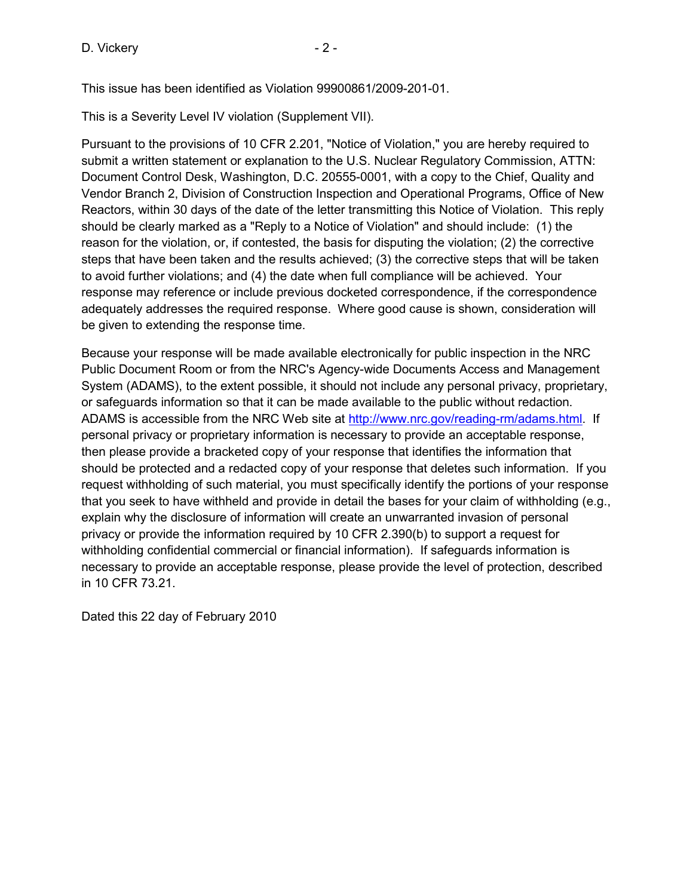D. Vickery **D.** 2 -

This issue has been identified as Violation 99900861/2009-201-01.

This is a Severity Level IV violation (Supplement VII).

Pursuant to the provisions of 10 CFR 2.201, "Notice of Violation," you are hereby required to submit a written statement or explanation to the U.S. Nuclear Regulatory Commission, ATTN: Document Control Desk, Washington, D.C. 20555-0001, with a copy to the Chief, Quality and Vendor Branch 2, Division of Construction Inspection and Operational Programs, Office of New Reactors, within 30 days of the date of the letter transmitting this Notice of Violation. This reply should be clearly marked as a "Reply to a Notice of Violation" and should include: (1) the reason for the violation, or, if contested, the basis for disputing the violation; (2) the corrective steps that have been taken and the results achieved; (3) the corrective steps that will be taken to avoid further violations; and (4) the date when full compliance will be achieved. Your response may reference or include previous docketed correspondence, if the correspondence adequately addresses the required response. Where good cause is shown, consideration will be given to extending the response time.

Because your response will be made available electronically for public inspection in the NRC Public Document Room or from the NRC's Agency-wide Documents Access and Management System (ADAMS), to the extent possible, it should not include any personal privacy, proprietary, or safeguards information so that it can be made available to the public without redaction. ADAMS is accessible from the NRC Web site at http://www.nrc.gov/reading-rm/adams.html. If personal privacy or proprietary information is necessary to provide an acceptable response, then please provide a bracketed copy of your response that identifies the information that should be protected and a redacted copy of your response that deletes such information. If you request withholding of such material, you must specifically identify the portions of your response that you seek to have withheld and provide in detail the bases for your claim of withholding (e.g., explain why the disclosure of information will create an unwarranted invasion of personal privacy or provide the information required by 10 CFR 2.390(b) to support a request for withholding confidential commercial or financial information). If safeguards information is necessary to provide an acceptable response, please provide the level of protection, described in 10 CFR 73.21.

Dated this 22 day of February 2010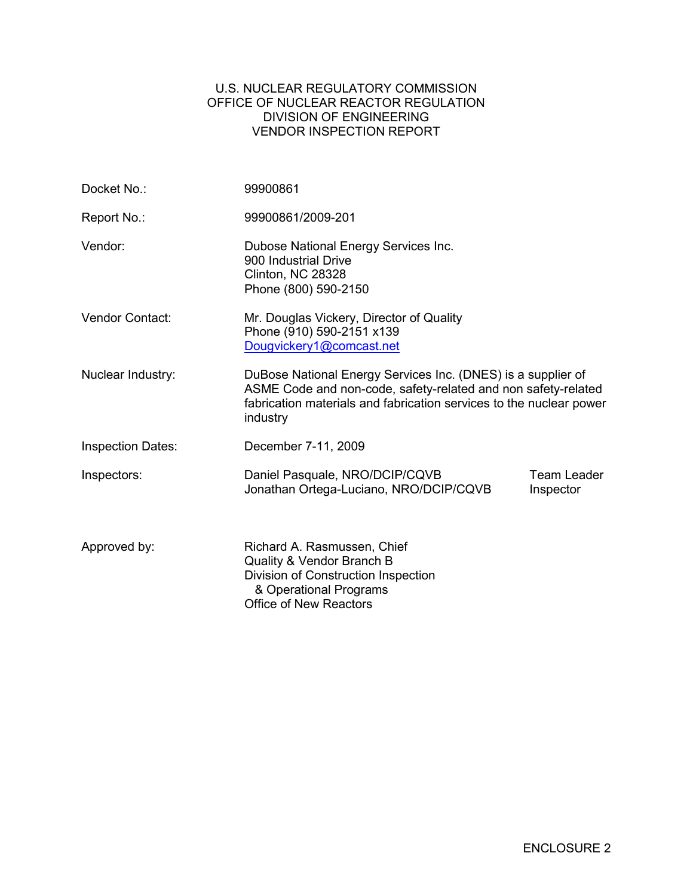## U.S. NUCLEAR REGULATORY COMMISSION OFFICE OF NUCLEAR REACTOR REGULATION DIVISION OF ENGINEERING VENDOR INSPECTION REPORT

| Docket No.:              | 99900861                                                                                                                                                                                                         |                                 |
|--------------------------|------------------------------------------------------------------------------------------------------------------------------------------------------------------------------------------------------------------|---------------------------------|
| Report No.:              | 99900861/2009-201                                                                                                                                                                                                |                                 |
| Vendor:                  | Dubose National Energy Services Inc.<br>900 Industrial Drive<br>Clinton, NC 28328<br>Phone (800) 590-2150                                                                                                        |                                 |
| <b>Vendor Contact:</b>   | Mr. Douglas Vickery, Director of Quality<br>Phone (910) 590-2151 x139<br>Dougvickery1@comcast.net                                                                                                                |                                 |
| Nuclear Industry:        | DuBose National Energy Services Inc. (DNES) is a supplier of<br>ASME Code and non-code, safety-related and non safety-related<br>fabrication materials and fabrication services to the nuclear power<br>industry |                                 |
| <b>Inspection Dates:</b> | December 7-11, 2009                                                                                                                                                                                              |                                 |
| Inspectors:              | Daniel Pasquale, NRO/DCIP/CQVB<br>Jonathan Ortega-Luciano, NRO/DCIP/CQVB                                                                                                                                         | <b>Team Leader</b><br>Inspector |
| Approved by:             | Richard A. Rasmussen, Chief<br>Quality & Vendor Branch B<br>Division of Construction Inspection<br>& Operational Programs<br><b>Office of New Reactors</b>                                                       |                                 |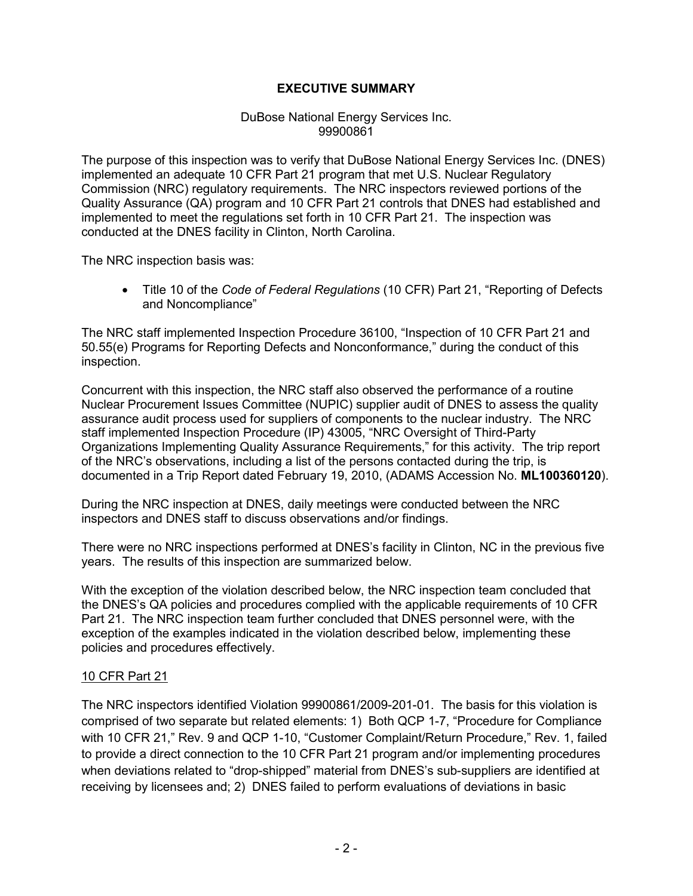# **EXECUTIVE SUMMARY**

### DuBose National Energy Services Inc. 99900861

The purpose of this inspection was to verify that DuBose National Energy Services Inc. (DNES) implemented an adequate 10 CFR Part 21 program that met U.S. Nuclear Regulatory Commission (NRC) regulatory requirements. The NRC inspectors reviewed portions of the Quality Assurance (QA) program and 10 CFR Part 21 controls that DNES had established and implemented to meet the regulations set forth in 10 CFR Part 21. The inspection was conducted at the DNES facility in Clinton, North Carolina.

The NRC inspection basis was:

• Title 10 of the *Code of Federal Regulations* (10 CFR) Part 21, "Reporting of Defects and Noncompliance"

The NRC staff implemented Inspection Procedure 36100, "Inspection of 10 CFR Part 21 and 50.55(e) Programs for Reporting Defects and Nonconformance," during the conduct of this inspection.

Concurrent with this inspection, the NRC staff also observed the performance of a routine Nuclear Procurement Issues Committee (NUPIC) supplier audit of DNES to assess the quality assurance audit process used for suppliers of components to the nuclear industry. The NRC staff implemented Inspection Procedure (IP) 43005, "NRC Oversight of Third-Party Organizations Implementing Quality Assurance Requirements," for this activity. The trip report of the NRC's observations, including a list of the persons contacted during the trip, is documented in a Trip Report dated February 19, 2010, (ADAMS Accession No. **ML100360120**).

During the NRC inspection at DNES, daily meetings were conducted between the NRC inspectors and DNES staff to discuss observations and/or findings.

There were no NRC inspections performed at DNES's facility in Clinton, NC in the previous five years. The results of this inspection are summarized below.

With the exception of the violation described below, the NRC inspection team concluded that the DNES's QA policies and procedures complied with the applicable requirements of 10 CFR Part 21. The NRC inspection team further concluded that DNES personnel were, with the exception of the examples indicated in the violation described below, implementing these policies and procedures effectively.

## 10 CFR Part 21

The NRC inspectors identified Violation 99900861/2009-201-01. The basis for this violation is comprised of two separate but related elements: 1) Both QCP 1-7, "Procedure for Compliance with 10 CFR 21," Rev. 9 and QCP 1-10, "Customer Complaint/Return Procedure," Rev. 1, failed to provide a direct connection to the 10 CFR Part 21 program and/or implementing procedures when deviations related to "drop-shipped" material from DNES's sub-suppliers are identified at receiving by licensees and; 2) DNES failed to perform evaluations of deviations in basic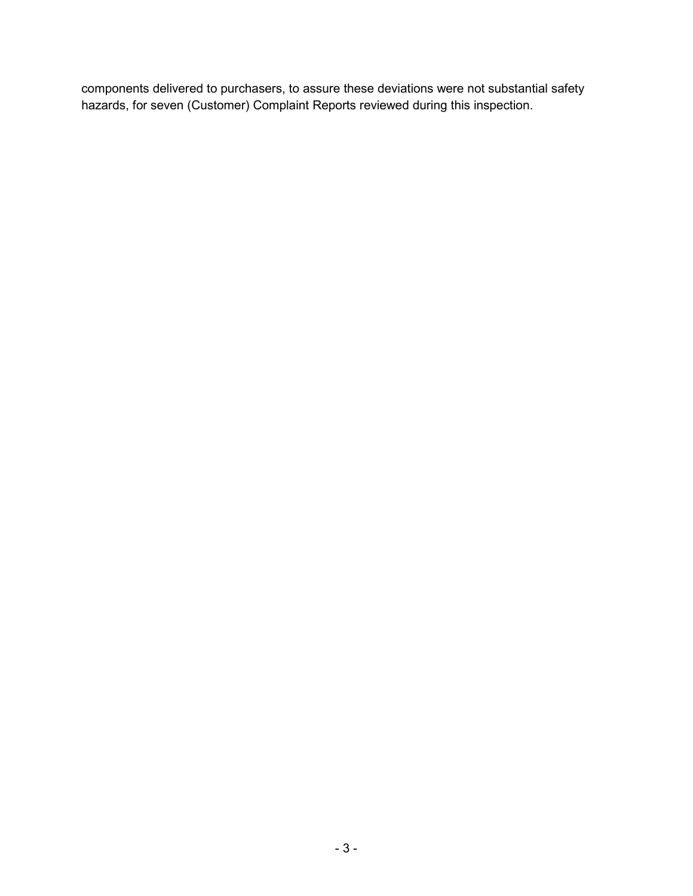components delivered to purchasers, to assure these deviations were not substantial safety hazards, for seven (Customer) Complaint Reports reviewed during this inspection.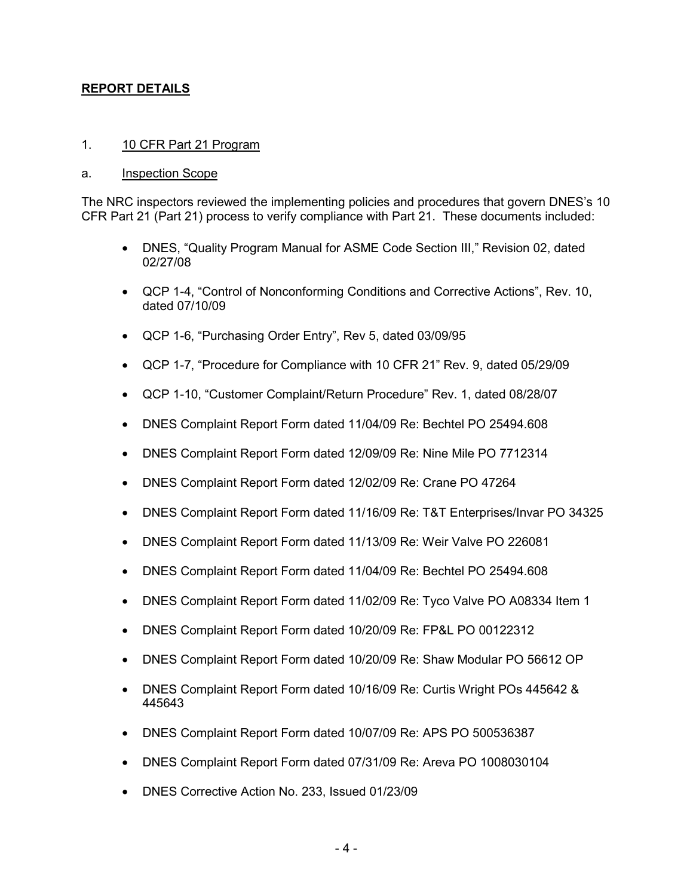# **REPORT DETAILS**

### 1. 10 CFR Part 21 Program

#### a. **Inspection Scope**

The NRC inspectors reviewed the implementing policies and procedures that govern DNES's 10 CFR Part 21 (Part 21) process to verify compliance with Part 21. These documents included:

- DNES, "Quality Program Manual for ASME Code Section III," Revision 02, dated 02/27/08
- QCP 1-4, "Control of Nonconforming Conditions and Corrective Actions", Rev. 10, dated 07/10/09
- QCP 1-6, "Purchasing Order Entry", Rev 5, dated 03/09/95
- QCP 1-7, "Procedure for Compliance with 10 CFR 21" Rev. 9, dated 05/29/09
- QCP 1-10, "Customer Complaint/Return Procedure" Rev. 1, dated 08/28/07
- DNES Complaint Report Form dated 11/04/09 Re: Bechtel PO 25494.608
- DNES Complaint Report Form dated 12/09/09 Re: Nine Mile PO 7712314
- DNES Complaint Report Form dated 12/02/09 Re: Crane PO 47264
- DNES Complaint Report Form dated 11/16/09 Re: T&T Enterprises/Invar PO 34325
- DNES Complaint Report Form dated 11/13/09 Re: Weir Valve PO 226081
- DNES Complaint Report Form dated 11/04/09 Re: Bechtel PO 25494.608
- DNES Complaint Report Form dated 11/02/09 Re: Tyco Valve PO A08334 Item 1
- DNES Complaint Report Form dated 10/20/09 Re: FP&L PO 00122312
- DNES Complaint Report Form dated 10/20/09 Re: Shaw Modular PO 56612 OP
- DNES Complaint Report Form dated 10/16/09 Re: Curtis Wright POs 445642 & 445643
- DNES Complaint Report Form dated 10/07/09 Re: APS PO 500536387
- DNES Complaint Report Form dated 07/31/09 Re: Areva PO 1008030104
- DNES Corrective Action No. 233, Issued 01/23/09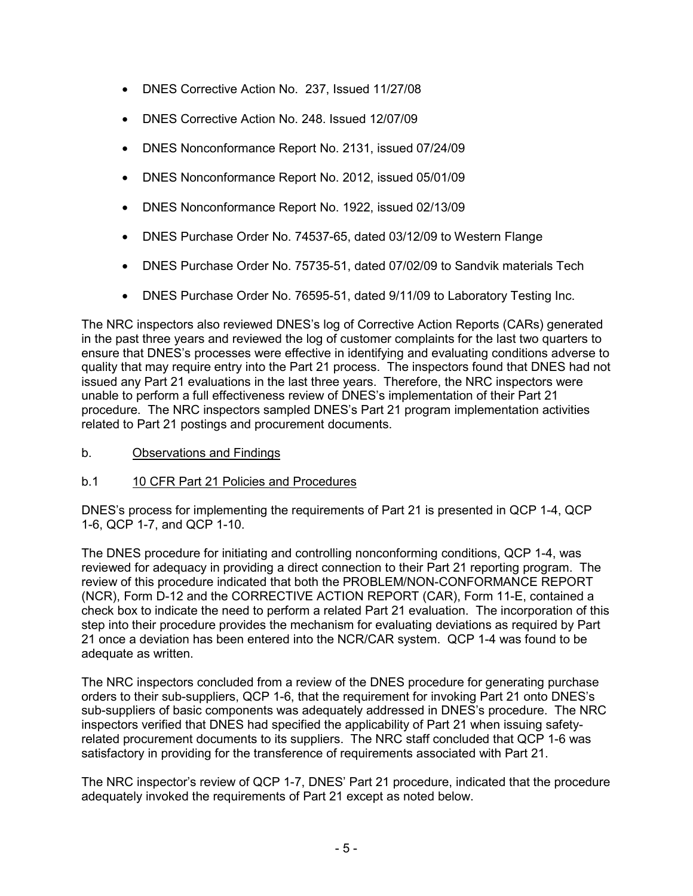- DNES Corrective Action No. 237, Issued 11/27/08
- DNES Corrective Action No. 248. Issued 12/07/09
- DNES Nonconformance Report No. 2131, issued 07/24/09
- DNES Nonconformance Report No. 2012, issued 05/01/09
- DNES Nonconformance Report No. 1922, issued 02/13/09
- DNES Purchase Order No. 74537-65, dated 03/12/09 to Western Flange
- DNES Purchase Order No. 75735-51, dated 07/02/09 to Sandvik materials Tech
- DNES Purchase Order No. 76595-51, dated 9/11/09 to Laboratory Testing Inc.

The NRC inspectors also reviewed DNES's log of Corrective Action Reports (CARs) generated in the past three years and reviewed the log of customer complaints for the last two quarters to ensure that DNES's processes were effective in identifying and evaluating conditions adverse to quality that may require entry into the Part 21 process. The inspectors found that DNES had not issued any Part 21 evaluations in the last three years. Therefore, the NRC inspectors were unable to perform a full effectiveness review of DNES's implementation of their Part 21 procedure. The NRC inspectors sampled DNES's Part 21 program implementation activities related to Part 21 postings and procurement documents.

b. Observations and Findings

# b.1 10 CFR Part 21 Policies and Procedures

DNES's process for implementing the requirements of Part 21 is presented in QCP 1-4, QCP 1-6, QCP 1-7, and QCP 1-10.

The DNES procedure for initiating and controlling nonconforming conditions, QCP 1-4, was reviewed for adequacy in providing a direct connection to their Part 21 reporting program. The review of this procedure indicated that both the PROBLEM/NON-CONFORMANCE REPORT (NCR), Form D-12 and the CORRECTIVE ACTION REPORT (CAR), Form 11-E, contained a check box to indicate the need to perform a related Part 21 evaluation. The incorporation of this step into their procedure provides the mechanism for evaluating deviations as required by Part 21 once a deviation has been entered into the NCR/CAR system. QCP 1-4 was found to be adequate as written.

The NRC inspectors concluded from a review of the DNES procedure for generating purchase orders to their sub-suppliers, QCP 1-6, that the requirement for invoking Part 21 onto DNES's sub-suppliers of basic components was adequately addressed in DNES's procedure. The NRC inspectors verified that DNES had specified the applicability of Part 21 when issuing safetyrelated procurement documents to its suppliers. The NRC staff concluded that QCP 1-6 was satisfactory in providing for the transference of requirements associated with Part 21.

The NRC inspector's review of QCP 1-7, DNES' Part 21 procedure, indicated that the procedure adequately invoked the requirements of Part 21 except as noted below.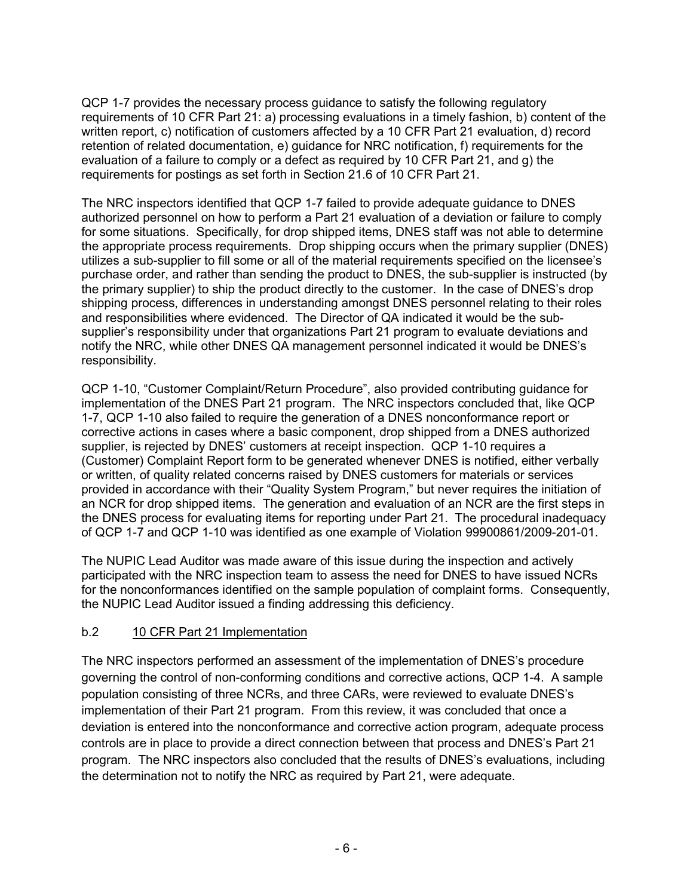QCP 1-7 provides the necessary process guidance to satisfy the following regulatory requirements of 10 CFR Part 21: a) processing evaluations in a timely fashion, b) content of the written report, c) notification of customers affected by a 10 CFR Part 21 evaluation, d) record retention of related documentation, e) guidance for NRC notification, f) requirements for the evaluation of a failure to comply or a defect as required by 10 CFR Part 21, and g) the requirements for postings as set forth in Section 21.6 of 10 CFR Part 21.

The NRC inspectors identified that QCP 1-7 failed to provide adequate guidance to DNES authorized personnel on how to perform a Part 21 evaluation of a deviation or failure to comply for some situations. Specifically, for drop shipped items, DNES staff was not able to determine the appropriate process requirements. Drop shipping occurs when the primary supplier (DNES) utilizes a sub-supplier to fill some or all of the material requirements specified on the licensee's purchase order, and rather than sending the product to DNES, the sub-supplier is instructed (by the primary supplier) to ship the product directly to the customer. In the case of DNES's drop shipping process, differences in understanding amongst DNES personnel relating to their roles and responsibilities where evidenced. The Director of QA indicated it would be the subsupplier's responsibility under that organizations Part 21 program to evaluate deviations and notify the NRC, while other DNES QA management personnel indicated it would be DNES's responsibility.

QCP 1-10, "Customer Complaint/Return Procedure", also provided contributing guidance for implementation of the DNES Part 21 program. The NRC inspectors concluded that, like QCP 1-7, QCP 1-10 also failed to require the generation of a DNES nonconformance report or corrective actions in cases where a basic component, drop shipped from a DNES authorized supplier, is rejected by DNES' customers at receipt inspection. QCP 1-10 requires a (Customer) Complaint Report form to be generated whenever DNES is notified, either verbally or written, of quality related concerns raised by DNES customers for materials or services provided in accordance with their "Quality System Program," but never requires the initiation of an NCR for drop shipped items. The generation and evaluation of an NCR are the first steps in the DNES process for evaluating items for reporting under Part 21. The procedural inadequacy of QCP 1-7 and QCP 1-10 was identified as one example of Violation 99900861/2009-201-01.

The NUPIC Lead Auditor was made aware of this issue during the inspection and actively participated with the NRC inspection team to assess the need for DNES to have issued NCRs for the nonconformances identified on the sample population of complaint forms. Consequently, the NUPIC Lead Auditor issued a finding addressing this deficiency.

# b.2 10 CFR Part 21 Implementation

The NRC inspectors performed an assessment of the implementation of DNES's procedure governing the control of non-conforming conditions and corrective actions, QCP 1-4. A sample population consisting of three NCRs, and three CARs, were reviewed to evaluate DNES's implementation of their Part 21 program. From this review, it was concluded that once a deviation is entered into the nonconformance and corrective action program, adequate process controls are in place to provide a direct connection between that process and DNES's Part 21 program. The NRC inspectors also concluded that the results of DNES's evaluations, including the determination not to notify the NRC as required by Part 21, were adequate.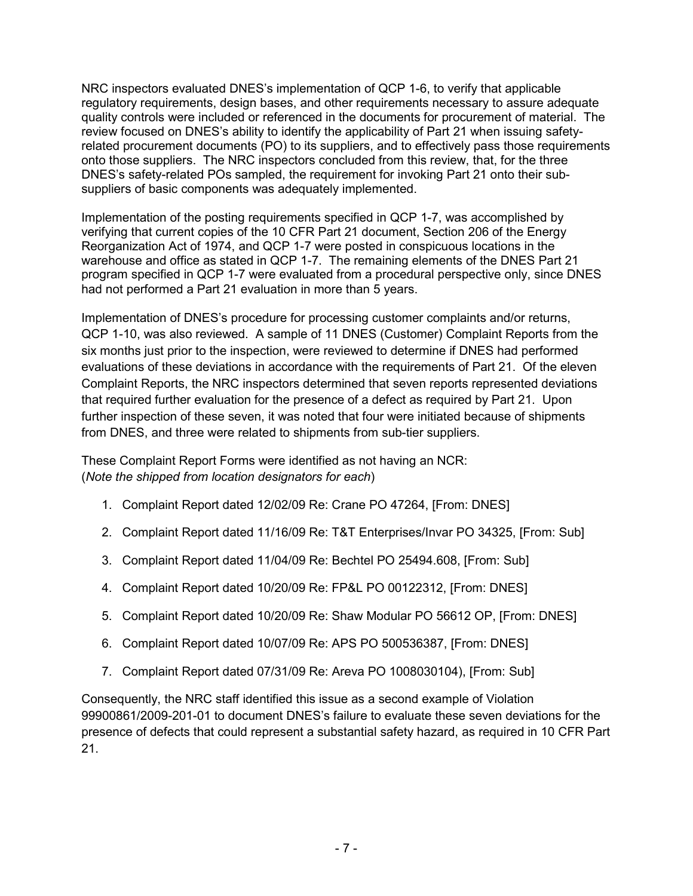NRC inspectors evaluated DNES's implementation of QCP 1-6, to verify that applicable regulatory requirements, design bases, and other requirements necessary to assure adequate quality controls were included or referenced in the documents for procurement of material. The review focused on DNES's ability to identify the applicability of Part 21 when issuing safetyrelated procurement documents (PO) to its suppliers, and to effectively pass those requirements onto those suppliers. The NRC inspectors concluded from this review, that, for the three DNES's safety-related POs sampled, the requirement for invoking Part 21 onto their subsuppliers of basic components was adequately implemented.

Implementation of the posting requirements specified in QCP 1-7, was accomplished by verifying that current copies of the 10 CFR Part 21 document, Section 206 of the Energy Reorganization Act of 1974, and QCP 1-7 were posted in conspicuous locations in the warehouse and office as stated in QCP 1-7. The remaining elements of the DNES Part 21 program specified in QCP 1-7 were evaluated from a procedural perspective only, since DNES had not performed a Part 21 evaluation in more than 5 years.

Implementation of DNES's procedure for processing customer complaints and/or returns, QCP 1-10, was also reviewed. A sample of 11 DNES (Customer) Complaint Reports from the six months just prior to the inspection, were reviewed to determine if DNES had performed evaluations of these deviations in accordance with the requirements of Part 21. Of the eleven Complaint Reports, the NRC inspectors determined that seven reports represented deviations that required further evaluation for the presence of a defect as required by Part 21. Upon further inspection of these seven, it was noted that four were initiated because of shipments from DNES, and three were related to shipments from sub-tier suppliers.

These Complaint Report Forms were identified as not having an NCR: (*Note the shipped from location designators for each*)

- 1. Complaint Report dated 12/02/09 Re: Crane PO 47264, [From: DNES]
- 2. Complaint Report dated 11/16/09 Re: T&T Enterprises/Invar PO 34325, [From: Sub]
- 3. Complaint Report dated 11/04/09 Re: Bechtel PO 25494.608, [From: Sub]
- 4. Complaint Report dated 10/20/09 Re: FP&L PO 00122312, [From: DNES]
- 5. Complaint Report dated 10/20/09 Re: Shaw Modular PO 56612 OP, [From: DNES]
- 6. Complaint Report dated 10/07/09 Re: APS PO 500536387, [From: DNES]
- 7. Complaint Report dated 07/31/09 Re: Areva PO 1008030104), [From: Sub]

Consequently, the NRC staff identified this issue as a second example of Violation 99900861/2009-201-01 to document DNES's failure to evaluate these seven deviations for the presence of defects that could represent a substantial safety hazard, as required in 10 CFR Part 21.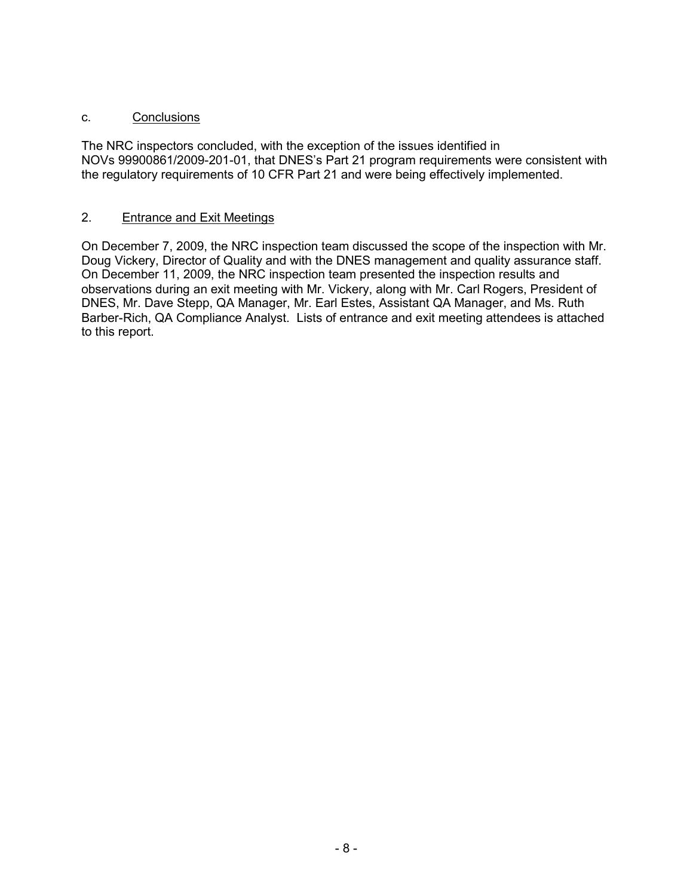# c. Conclusions

The NRC inspectors concluded, with the exception of the issues identified in NOVs 99900861/2009-201-01, that DNES's Part 21 program requirements were consistent with the regulatory requirements of 10 CFR Part 21 and were being effectively implemented.

## 2. Entrance and Exit Meetings

On December 7, 2009, the NRC inspection team discussed the scope of the inspection with Mr. Doug Vickery, Director of Quality and with the DNES management and quality assurance staff. On December 11, 2009, the NRC inspection team presented the inspection results and observations during an exit meeting with Mr. Vickery, along with Mr. Carl Rogers, President of DNES, Mr. Dave Stepp, QA Manager, Mr. Earl Estes, Assistant QA Manager, and Ms. Ruth Barber-Rich, QA Compliance Analyst. Lists of entrance and exit meeting attendees is attached to this report.